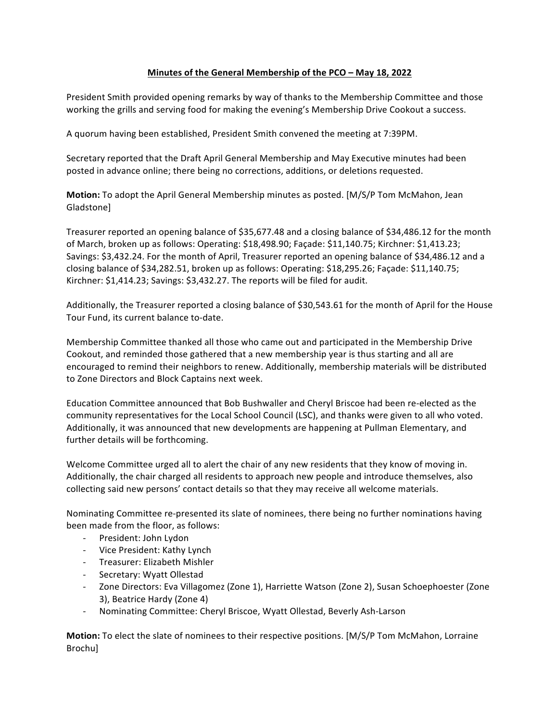## **Minutes of the General Membership of the PCO – May 18, 2022**

President Smith provided opening remarks by way of thanks to the Membership Committee and those working the grills and serving food for making the evening's Membership Drive Cookout a success.

A quorum having been established, President Smith convened the meeting at 7:39PM.

Secretary reported that the Draft April General Membership and May Executive minutes had been posted in advance online; there being no corrections, additions, or deletions requested.

**Motion:** To adopt the April General Membership minutes as posted. [M/S/P Tom McMahon, Jean Gladstone]

Treasurer reported an opening balance of \$35,677.48 and a closing balance of \$34,486.12 for the month of March, broken up as follows: Operating: \$18,498.90; Façade: \$11,140.75; Kirchner: \$1,413.23; Savings: \$3,432.24. For the month of April, Treasurer reported an opening balance of \$34,486.12 and a closing balance of \$34,282.51, broken up as follows: Operating: \$18,295.26; Façade: \$11,140.75; Kirchner: \$1,414.23; Savings: \$3,432.27. The reports will be filed for audit.

Additionally, the Treasurer reported a closing balance of \$30,543.61 for the month of April for the House Tour Fund, its current balance to-date.

Membership Committee thanked all those who came out and participated in the Membership Drive Cookout, and reminded those gathered that a new membership year is thus starting and all are encouraged to remind their neighbors to renew. Additionally, membership materials will be distributed to Zone Directors and Block Captains next week.

Education Committee announced that Bob Bushwaller and Cheryl Briscoe had been re-elected as the community representatives for the Local School Council (LSC), and thanks were given to all who voted. Additionally, it was announced that new developments are happening at Pullman Elementary, and further details will be forthcoming.

Welcome Committee urged all to alert the chair of any new residents that they know of moving in. Additionally, the chair charged all residents to approach new people and introduce themselves, also collecting said new persons' contact details so that they may receive all welcome materials.

Nominating Committee re-presented its slate of nominees, there being no further nominations having been made from the floor, as follows:

- President: John Lydon
- Vice President: Kathy Lynch
- Treasurer: Elizabeth Mishler
- Secretary: Wyatt Ollestad
- Zone Directors: Eva Villagomez (Zone 1), Harriette Watson (Zone 2), Susan Schoephoester (Zone 3), Beatrice Hardy (Zone 4)
- Nominating Committee: Cheryl Briscoe, Wyatt Ollestad, Beverly Ash-Larson

**Motion:** To elect the slate of nominees to their respective positions. [M/S/P Tom McMahon, Lorraine Brochu]